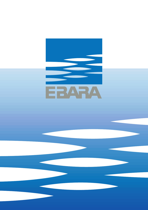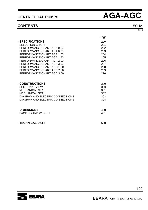### **CONTENTS**

 $\blacksquare$ 

|                            | Page |
|----------------------------|------|
| <b>SPECIFICATIONS</b>      | 200  |
| <b>SELECTION CHART</b>     | 201  |
| PERFORMANCE CHART AGA 0.60 | 202  |
| PERFORMANCE CHART AGA 0.75 | 203  |
| PERFORMANCE CHART AGA 1.00 | 204  |
| PERFORMANCE CHART AGA 1.50 | 205  |
| PERFORMANCE CHART AGA 2.00 | 206  |
| PERFORMANCE CHART AGA 3.00 | 207  |
| PERFORMANCE CHART AGC 1.50 | 208  |
| PERFORMANCE CHART AGC 2.00 | 209  |
| PERFORMANCE CHART AGC 3.00 | 210  |
|                            |      |

| <b>- CONSTRUCTIONS</b>           | 300 |
|----------------------------------|-----|
| <b>SECTIONAL VIEW</b>            | 300 |
| <b>MECHANICAL SEAL</b>           | 301 |
| MECHANICAL SEAL                  | 302 |
| DIAGRAM AND ELECTRIC CONNECTIONS | 303 |
| DIAGRAM AND ELECTRIC CONNECTIONS | 304 |
|                                  |     |

| - DIMENSIONS              | 400 |
|---------------------------|-----|
| <b>PACKING AND WEIGHT</b> | 401 |

- TECHNICAL DATA

500



100

50Hz Rev<sub>F</sub>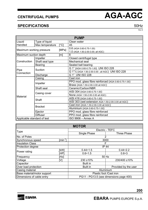### **SPECIFICATIONS** 50Hz

Rev E

|                             |                 |              | <b>PUMP</b>                                          |  |  |  |  |  |  |
|-----------------------------|-----------------|--------------|------------------------------------------------------|--|--|--|--|--|--|
| Liquid                      | Type of liquid  |              | Clean water                                          |  |  |  |  |  |  |
| Handled                     | Max temperature | $\lceil$ °C1 | 45                                                   |  |  |  |  |  |  |
| Maximum working pressure    |                 | [MPa]        | 0.6 (AGA 0.60-0.75-1.00)                             |  |  |  |  |  |  |
|                             |                 |              | 1.0 (AGA 1.50-2.00-3.00; all AGC)                    |  |  |  |  |  |  |
| Maximum suction depth       |                 | [m]          | 8                                                    |  |  |  |  |  |  |
|                             | Impeller        |              | Closed centrifugal type                              |  |  |  |  |  |  |
| Construction                | Shaft seal type |              | Mechanical seal                                      |  |  |  |  |  |  |
|                             | Bearing         |              | Sealed ball bearing                                  |  |  |  |  |  |  |
|                             |                 |              | G 1" (AGA 0.60-0.75-1.00) UNI ISO 228                |  |  |  |  |  |  |
| Pipe<br>Connection          | Suction         |              | G 1"1/2 (AGA 1.50-2.00-3.00 ; all AGC) UNI ISO 228   |  |  |  |  |  |  |
|                             | Discharge       |              | G 1" UNI ISO 228                                     |  |  |  |  |  |  |
|                             | Casing          |              | Cast iron                                            |  |  |  |  |  |  |
|                             |                 |              | PPO mod. glass fibre reinforced (AGA 0.60-0.75-1.00) |  |  |  |  |  |  |
|                             | Impeller        |              | Brass (AGA 1.50-2.00-3.00 all AGC)                   |  |  |  |  |  |  |
|                             | Shaft seal      |              | Ceramic/Carbon/NBR                                   |  |  |  |  |  |  |
|                             |                 |              | AISI 304 (AGA 0.60-0.75-1.00)                        |  |  |  |  |  |  |
|                             | Casing cover    |              | None (AGA 1.50-2.00-3.00 all AGC)                    |  |  |  |  |  |  |
| Material                    |                 |              | AISI 416 (AGA 0.60-0.75-1.00)                        |  |  |  |  |  |  |
|                             | Shaft           |              | AISI 303 (wet extension AGA 1.50-2.00-3.00 all AGC)  |  |  |  |  |  |  |
|                             |                 |              | Cast iron (AGA 1.50-2.00-3.00 all AGC)               |  |  |  |  |  |  |
|                             | <b>Bracket</b>  |              | Aluminium (AGA 0.60-0.75-1.00)                       |  |  |  |  |  |  |
|                             | Ejector         |              | PPO mod. glass fibre reinforced                      |  |  |  |  |  |  |
|                             | <b>Diffuser</b> |              | PPO mod. glass fibre reinforced                      |  |  |  |  |  |  |
| Applicable standard of test |                 |              | ISO 9906 - Annex A                                   |  |  |  |  |  |  |

| <b>MOTOR</b>                                           |                       |                                         |                    |  |  |  |  |  |  |  |
|--------------------------------------------------------|-----------------------|-----------------------------------------|--------------------|--|--|--|--|--|--|--|
|                                                        |                       | Electric - TEFC                         |                    |  |  |  |  |  |  |  |
| Type                                                   |                       | Single Phase                            | <b>Three Phase</b> |  |  |  |  |  |  |  |
| No. of Poles                                           |                       | 2                                       |                    |  |  |  |  |  |  |  |
| Synchronous speed                                      | [min $^{\text{-1}}$ ] | 3000                                    |                    |  |  |  |  |  |  |  |
| <b>Insulation Class</b>                                |                       | F                                       |                    |  |  |  |  |  |  |  |
| Protection degree                                      |                       | <b>IP 44</b>                            |                    |  |  |  |  |  |  |  |
| Power rating                                           | [kW]                  | $0.44 \div 1.5$                         | $0.44 \div 2.2$    |  |  |  |  |  |  |  |
|                                                        | [HP]                  | $0.6 + 1.5$                             | $0.6 + 3$          |  |  |  |  |  |  |  |
| Frequency                                              | [Hz]                  | 50 Hz                                   |                    |  |  |  |  |  |  |  |
| Voltage                                                | [V]                   | 230 ±10%                                | 230/400 ±10%       |  |  |  |  |  |  |  |
| Capacitor                                              |                       | <b>Built in</b>                         |                    |  |  |  |  |  |  |  |
| Over load protection                                   |                       | <b>Built in</b><br>Provided by the user |                    |  |  |  |  |  |  |  |
| Casing material                                        |                       | Aluminium                               |                    |  |  |  |  |  |  |  |
| Base material/motor support<br>Plastic foot /Cast iron |                       |                                         |                    |  |  |  |  |  |  |  |
| Dimensions of cable entry                              |                       | PG11 - PG13.5 (see dimensions page 400) |                    |  |  |  |  |  |  |  |

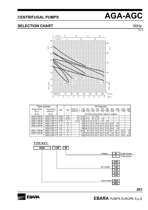### **SELECTION CHART** 50Hz

Rev E



| I ype pumps  |             |      |      | Q=Capacity  |      |      |                                   |      |                 |      |      |      |      |      |
|--------------|-------------|------|------|-------------|------|------|-----------------------------------|------|-----------------|------|------|------|------|------|
| Single Phase | Three Phase | kW   | HP   | l/min 5     | 10   | 20   | 30 <sub>1</sub>                   | 45   | 50 <sup>1</sup> | 60   | 80   | 100  | 130  | 160  |
| 230 V        | 230/400 V   |      |      | $m^3/h$ 0.3 | 0.61 | 1.2  | 1.8                               | 2.71 | 3.0             | 3.6  | 4.8  | 6    | 7.8  | 9.6  |
| 50 Hz        | 50 Hz       |      |      |             |      |      | H=Total manometric head in meters |      |                 |      |      |      |      |      |
| AGA 0.60 M   | AGA 0.60 T  | 0.44 | 0.6  | 37          | 33.4 | 27.1 | 22                                | 16.5 |                 |      |      |      |      | -    |
| AGA 0.75 M   | AGA 0.75 T  | 0.55 | 0.75 | 45          | 42.8 | 37.9 | 32                                | 21.9 | 18              | ۰    | ۰    | -    |      | -    |
| AGA 1.00 M   | AGA 1.00 T  | 0.75 |      | 47.5        | 45   | 40.3 | 35.7                              | 29.1 | 27              | 23   | ۰    | -    | -    | ۰.   |
| AGA 1.50 M   | AGA 1.50 T  | 1.1  | 1.5  |             | 48   | 45.1 | 42.4                              | 38.6 | 37.4            | 35.1 | 30.8 | 27   | ۰    | ۰.   |
| AGA 2.00 M   | AGA 2.00 T  | 1.5  | 2    |             | 59   | 55.6 | 52.2                              | 47.3 | 45.7            | 42.5 | 36.4 | 30.5 | ۰    | ۰.   |
|              | AGA 3.00 T  | 2.2  | 3    |             | 68   | 64.3 | 60.8                              | 55.9 | 54.4            | 51.6 | 46.4 | 42   | -    | ۰.   |
| AGC 1.50 M   | AGC 1.50 T  | 1.1  | 1.5  |             | 38.5 | 37   | 35.6                              | 33.5 | 32.7            | 31.4 | 28.7 | 26.1 | 22.4 | 19   |
| AGC 2.00 M   | AGC 2.00 T  | 1.5  | 2    |             | 51   | 49.9 | 48.8                              | 46.9 | 46.3            | 44.9 | 42   | 38.7 | 33.2 | 27   |
|              | AGC 3.00 T  | 2.2  | 3    |             | 58   | 55.6 | 53.3                              | 50.1 | 49.1            | 47.1 | 43.4 | 40.2 | 35.9 | 32.5 |

**TYPE KEY:**

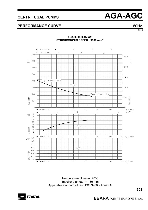### **PERFORMANCE CURVE**  50Hz



Temperature of water: 20°C Impeller diameter = 130 mm Applicable standard of test: ISO 9906 - Annex A



**EBARA** PUMPS EUROPE S.p.A.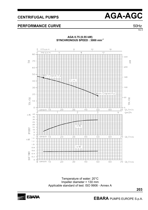### **PERFORMANCE CURVE**  50Hz



Temperature of water: 20°C Impeller diameter = 130 mm Applicable standard of test: ISO 9906 - Annex A

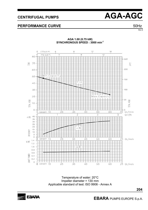### **EBARA** PUMPS EUROPE S.p.A.

## **PERFORMANCE CURVE**  50Hz

**AGA 1.00 (0.75 kW)** 

**SYNCHRONOUS SPEED : 3000 min-1**



Temperature of water: 20°C Impeller diameter = 130 mm Applicable standard of test: ISO 9906 - Annex A



Rev E

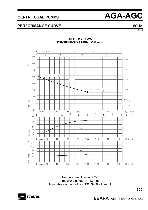### **PERFORMANCE CURVE**  50Hz

Rev E



**AGA 1.50 (1.1 kW) SYNCHRONOUS SPEED : 3000 min-1**

Temperature of water: 20°C Impeller diameter = 143 mm Applicable standard of test: ISO 9906 - Annex A



**EBARA** PUMPS EUROPE S.p.A.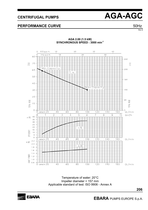# Rev E

## CENTRIFUGAL PUMPS **AGA-AGC**

### **PERFORMANCE CURVE**  50Hz



**AGA 2.00 (1.5 kW) SYNCHRONOUS SPEED : 3000 min-1**

Temperature of water: 20°C Impeller diameter = 157 mm Applicable standard of test: ISO 9906 - Annex A

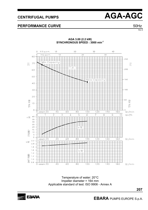### **PERFORMANCE CURVE**  50Hz

Rev E



**AGA 3.00 (2.2 kW) SYNCHRONOUS SPEED : 3000 min-1**

Temperature of water: 20°C Impeller diameter = 164 mm Applicable standard of test: ISO 9906 - Annex A

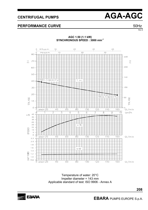### **PERFORMANCE CURVE**  50Hz



Temperature of water: 20°C Impeller diameter = 143 mm Applicable standard of test: ISO 9906 - Annex A



**EBARA** PUMPS EUROPE S.p.A.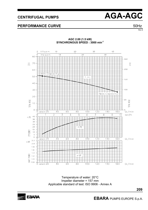$40$ 

 $\overline{30}$ 



### **PERFORMANCE CURVE**  50Hz

 $\overline{O}$ 

80

 $U.S.g.p.m.$ 

Imp.g.p.m.

 $10$ 

 $10$ 

250  $\frac{H}{m}$ 70  $_{\rm ft}^{\rm H}$ 200 60 Min.Capacity  $50 -$ T.H. 150 40  $100$  $30 -$ Max.Capacity 20 TOTAL HEAD 50 HEAD  $10$ **TOTAL**  $\circ$ CAPACITY 20  $4<sup>1</sup>$  $6^{\circ}$  $8<sub>0</sub>$  $100$  $1\overline{2}$ O  $140$  $160$ .<br>Ql/min Ò  $\frac{1}{7}$  $\overline{2}$  $\overline{3}$  $\overline{5}$  $\overline{6}$  $\overline{8}$  $\overline{5}$  $\overline{10}$ <sup>5</sup>  $\frac{1}{4}$  $Qm^3/h$  $n\%$  $40$ 35 30 25 20  $n\overline{z}$ 15 EFFICIENCY  $10$  $\overline{5}$  $\circ$  $capacity 2<sup>1</sup>O$  $8<sub>0</sub>$  $140$  $160$  $\overline{4}$ O  $6^{\circ}$  $100$  $120$  $QI/min$ ∩  $2.2$  $kW$  $2.0$  $1.8$  $1.6$  $1, 4$ POWER **kW**  $1.2$ **HAFT**  $1.0$  $0.8$  $120$  $\circ$  $capacity 20$  $4<sup>1</sup>$  $6^{\circ}$  $8^{\circ}$  $100$  $140$  $160$  $QI/min$ 

**AGC 2.00 (1.5 kW) SYNCHRONOUS SPEED : 3000 min-1**

 $\overline{20}$ 

 $\frac{30}{1}$ 

 $^{20}$ 

Temperature of water: 20°C Impeller diameter = 157 mm Applicable standard of test: ISO 9906 - Annex A



**209**

Rev E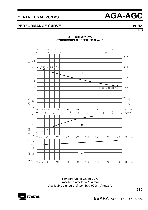### **PERFORMANCE CURVE**  50Hz

Rev E



Temperature of water: 20°C Impeller diameter = 164 mm Applicable standard of test: ISO 9906 - Annex A



 **EBARA** PUMPS EUROPE S.p.A.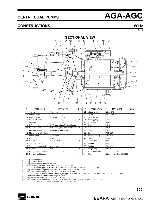### **CONSTRUCTIONS** 50Hz

Rev E



| $N^{\circ}$ | <b>PART NAME</b>           | <b>MATERIAL</b>                 | Q.TY | $N^{\circ}$ | <b>PART NAME</b>        | <b>MATERIAL</b>            | Q.TY |
|-------------|----------------------------|---------------------------------|------|-------------|-------------------------|----------------------------|------|
|             | Casing                     | Cast iron                       |      | 21          | Adjusting ring          | Steel C70                  |      |
| 3           | Motor bracket              | $[9]$                           |      | 22          | Tie rod                 | Fe 42 Zinked               | 4    |
| 4           | Casing cover               | AISI 304<br>[8]                 |      | 23          | Capacitor [1]           |                            |      |
| 6           | Shaft with rotor           | [6]                             |      | 24          | Priming plug            | <b>Brass</b>               |      |
|             | Impeller                   | [4]                             |      | 25          | Drain plug              | <b>Brass</b>               |      |
| 9           | Diffuser + Venturi tube    | PPO mod. glass fibre reinforced |      | 26          | O-ring                  | <b>NBR</b>                 |      |
|             | 10 Venturi nozzle          | PPO mod. glass fibre reinforced |      | 27          | O-ring                  | <b>NBR</b>                 |      |
| 11          | Mechanical seal [7]        | Carbon/Ceramic/NBR              | 1    | 28          | O-ring                  | <b>NBR</b>                 |      |
| 12          | Motor frame with stator    |                                 | 1    | 32          | Key                     | AISI 304                   |      |
|             | 13 Motor cover             | Aluminium                       | 1    | 34          | Impeller nut [3]        | <b>AISI 304</b>            |      |
|             | 14 Fan                     | PA <sub>6</sub>                 | 1    | 42          | lFoot                   | <b>PVC</b>                 | 1    |
|             | 15 Fan cover               | Fe P04 Zinked                   | 1    | 52          | Terminal box [1]        | <b>ABS</b>                 | 1    |
|             | 16 Terminal board          | ۰                               | 1    | 75          | Washer                  | Aluminium                  | 1    |
| 17          | Terminal box cover [2]     | Aluminium                       | 1    | 76          | Washer                  | Aluminium                  | 1    |
|             | 18 Splash ring             | <b>NBR</b>                      | 1    | 101         | Seeger ring             | <b>AISI 420</b>            | 1    |
|             | 19 Pump side ball bearing  | ۰                               | 1    |             | 110 Motor protector [5] |                            | 1    |
|             | 20   Fan side ball bearing | ۰                               | 1    |             | 200 Screw               | Stainless steel A2 UNI7323 | 4    |

[1] Only for single phase

- [2] Only for three phase<br>[3] Only for version with
- [3] Only for version with impeller in Brass<br>[4] Material : Noryl for type : AGA 0.60 -[4] Material : Noryl for type : AGA 0.60 - AGA 0.75 - AGA 1.00
- Brass for type : AGA 1.50 AGA 2.00 AGA 3.00 AGC 1.50 AGC 2.00 AGC 3.00 [5] Only for version single phase AGA 1.50 - AGA 2.00 - AGC 1.50 - AGC 2.00
- [6] Material : AISI 416 for type : AGA 0.60 AGA 0.75 AGA 1.00
	- AISI 303 (part in contact with liquid) for type : AGA 1.50 AGA 2.00 AGA 3.00 AGC 1.50 AGC 2.00 AGC 3.00
- [7] See constructions mechanical seal page 301-302
- [8] Only for version AGA 0.60 AGA 0.75 AGA 1.00<br>[9] Material : Cast iron for version AGA 1.50 AGA 2. Material : Cast iron for version AGA 1.50 - AGA 2.00 - AGA 3.00 - AGC 1.50 - AGC 2.00 - AGC 3.00 Aluminium for version AGA 0.60 - AGA 0.75 - AGA 1.00

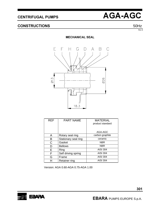### **CONSTRUCTIONS** 50Hz

Rev E

### **MECHANICAL SEAL**



| <b>REF</b> | <b>PART NAME</b>     | <b>MATERIAL</b><br>product standard |
|------------|----------------------|-------------------------------------|
|            |                      | AGA-AGC                             |
| A          | Rotary seal ring     | carbon graphite                     |
| в          | Stationary seal ring | ceramic                             |
| C          | Gasket               | <b>NBR</b>                          |
| D          | <b>Bellows</b>       | <b>NBR</b>                          |
| Е          | Ring                 | AISI 304                            |
| F          | Self driving spring  | <b>AISI 304</b>                     |
| G          | Frame                | <b>AISI 304</b>                     |
|            | <b>Retainer ring</b> | AISI 304                            |

Version: AGA 0.60-AGA 0.75-AGA 1.00

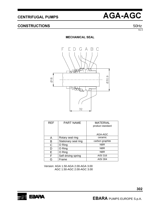

### **CONSTRUCTIONS** 50Hz

Rev E

### **MECHANICAL SEAL**



| <b>REF</b> | <b>PART NAME</b>     | <b>MATERIAL</b><br>product standard |
|------------|----------------------|-------------------------------------|
|            |                      | AGA-AGC                             |
| Α          | Rotary seal ring     | ceramic                             |
| в          | Stationary seal ring | carbon graphite                     |
| C          | O Ring               | <b>NBR</b>                          |
| D          | O Ring               | <b>NBR</b>                          |
| Е          | O Ring               | <b>NBR</b>                          |
| F          | Self driving spring  | <b>AISI 316</b>                     |
|            | Frame                | <b>AISI 304</b>                     |

Version: AGA 1.50-AGA 2.00-AGA 3.00 AGC 1.50-AGC 2.00-AGC 3.00

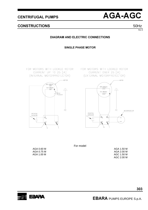**CENTRIFUGAL PUMPS** 



### **CONSTRUCTIONS**

 $50Hz$ Rev<sub>F</sub>

### **DIAGRAM AND ELECTRIC CONNECTIONS**

**SINGLE PHASE MOTOR** 

FOR MOTORS WITH LOCKED ROTOR CURRENT UP TO 25 [A] (INTERNAL MOTORPROTECTOR)



FOR MOTORS WITH LOCKED ROTOR CURRENT OVER 25 [A] (EXTERNAL MOTORPROTECTOR) -MOTOR



For model

| AGA 1.50 M |  |
|------------|--|
| AGA 2.00 M |  |
| AGC 1.50 M |  |
| AGC 2.00 M |  |

EBARA

AGA 0.60 M AGA 0.75 M AGA 1.00 M

**EBARA PUMPS EUROPE S.p.A.**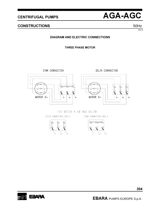**CENTRIFUGAL PUMPS** 



### **CONSTRUCTIONS**

50Hz Rev<sub>F</sub>

### **DIAGRAM AND ELECTRIC CONNECTIONS**

**THREE PHASE MOTOR** 

STAR CONNECTION



DELTA CONNECTION



FOR MOTOR 4 KW AND BELOW

DELTA CONNECTION 230 V

STAR CONNECTION 400 V



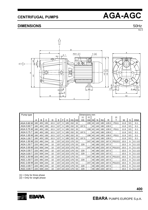### DIMENSIONS 50Hz

Rev E



| Pump type  | Dimensions mm |     |     |      |     |    |     |     |                |                |       |     |     |     |       |             |      |     |                |
|------------|---------------|-----|-----|------|-----|----|-----|-----|----------------|----------------|-------|-----|-----|-----|-------|-------------|------|-----|----------------|
|            |               |     |     |      |     |    |     |     |                | $[1]$          | $[2]$ |     |     |     |       | $[2]$       |      |     |                |
|            | A             | B   | С   | D    | Е   | F  | Н   | H1  | H <sub>2</sub> | H <sub>3</sub> | H4    | M I | N   | N1  | R     |             | W    | S   | DNA            |
| AGA 0.60 M | 180           | 405 | 195 | 10.3 | 127 | 9  | 185 | 152 | 33             |                | 199   | 40  | 140 | 180 | 128.5 | <b>PG11</b> | 11.8 | 9.5 | G <sub>1</sub> |
| AGA 0.60 T | 180           | 405 | 195 | 10.3 | 127 | 9  | 185 | 152 | 33             | 197.5          |       | 40  | 140 | 180 | 128.5 |             | 11.8 | 9.5 | G <sub>1</sub> |
| AGA 0.75 M | 180           | 405 | 195 | 10.3 | 127 | 9  | 185 | 152 | 33             | ä,             | 199   | 40  | 140 | 180 | 128.5 | <b>PG11</b> | 11.8 | 9.5 | G <sub>1</sub> |
| AGA 0.75 T | 180           | 405 | 195 | 10.3 | 127 | 9  | 185 | 152 | 33             | 197.5          |       | 40  | 140 | 180 | 128.5 |             | 11.8 | 9.5 | G <sub>1</sub> |
| AGA 1.00 M | 180           | 405 | 195 | 10.3 | 127 | 9  | 185 | 152 | 33             | ÷.             | 199   | 40  | 140 | 180 | 128.5 | <b>PG11</b> | 11.8 | 9.5 | G <sub>1</sub> |
| AGA 1.00 T | 180           | 405 | 195 | 10.3 | 127 | 9  | 185 | 152 | 33             | 197.5          |       | 40  | 140 | 180 | 128.5 | ٠           | 11.8 | 9.5 | G <sub>1</sub> |
| AGA 1.50 M | 220           | 495 | 244 | 10   | 157 | 10 | 223 | 170 | 53             | ۰              | 247   | 48  | 180 | 220 | 167.5 | PG13.5      | 15.5 | 9   | 1/2<br>G 1     |
| AGA 1.50 T | 220           | 495 | 244 | 10   | 157 | 10 | 223 | 170 | 53             | 229            |       | 48  | 180 | 220 | 167.5 |             | 15.5 | 9   | 1/2<br>G 1     |
| AGA 2.00 M | 220           | 508 | 244 | 10   | 157 | 10 | 223 | 170 | 53             | ۰              | 247   | 48  | 180 | 220 | 167.5 | PG13.5      | 15.5 | 9   | 1/2<br>G 1     |
| AGA 2.00 T | 220           | 495 | 244 | 10   | 157 | 10 | 223 | 170 | 53             | 229            |       | 48  | 180 | 220 | 167.5 |             | 15.5 | 9   | 1/2<br>G 1     |
| AGA 3.00 T | 220           | 508 | 244 | 10   | 157 | 10 | 223 | 170 | 53             | 229            |       | 48  | 180 | 220 | 167.5 | ٠           | 15.5 | 9   | G 1 1/2        |
| AGC 1.50 M | 220           | 495 | 244 | 10   | 157 | 10 | 223 | 170 | 53             | ۰              | 247   | 48  | 180 | 220 | 167.5 | PG13.5      | 15.5 | 9   | 1/2<br>G 1     |
| AGC 1.50 T | 220           | 495 | 244 | 10   | 157 | 10 | 223 | 170 | 53             | 229            |       | 48  | 180 | 220 | 167.5 |             | 15.5 | 9   | 1/2<br>G 1     |
| AGC 2.00 M | 220           | 508 | 244 | 10   | 157 | 10 | 223 | 170 | 53             | ۰              | 247   | 48  | 180 | 220 | 167.5 | PG13.5      | 15.5 | 9   | 1/2<br>G 1     |
| AGC 2.00 T | 220           | 495 | 244 | 10   | 157 | 10 | 223 | 170 | 53             | 229            |       | 48  | 180 | 220 | 167.5 |             | 15.5 | 9   | 1/2<br>G 1     |
| AGC 3.00   | 220           | 508 | 244 | 10   | 157 | 10 | 223 | 170 | 53             | 229            |       | 48  | 180 | 220 | 167.5 |             | 15.5 | 9   | G 1 1/2        |

[1] = Only for three phase

[2] = Only for single phase

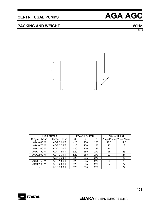### **PACKING AND WEIGHT** 50Hz

Rev E

 $\rightarrow$  $\overline{Z}$ 

|              | Type pumps  |     | PACKING [mm] |     | <b>WEIGHT</b> [kg] |             |  |
|--------------|-------------|-----|--------------|-----|--------------------|-------------|--|
| Single Phase | Three Phase | х   |              |     | Single Phase       | Three Phase |  |
| AGA 0.60 M   | AGA 0.60 T  | 420 | 230          | 235 | 12.5               | 12.5        |  |
| AGA 0.75 M   | AGA 0.75 T  | 420 | 230          | 235 | 13                 | 13          |  |
| AGA 1.00 M   | AGA 1.00 T  | 420 | 230          | 235 | 14                 | 14          |  |
| AGA 1.50 M   | AGA 1.50 T  | 520 | 265          | 270 | 26                 | 26          |  |
| AGA 2.00 M   | AGA 2.00 T  | 520 | 265          | 270 | 27                 | 27          |  |
|              | AGA 3.00 T  | 520 | 265          | 270 | -                  | 27          |  |
| AGC 1.50 M   | AGC 1.50 T  | 520 | 265          | 270 | 26                 | 26          |  |
| AGC 2.00 M   | AGC 2.00 T  | 520 | 265          | 270 | 27                 | 27          |  |
|              | AGC 3.00 T  | 520 | 265          | 270 |                    | 27          |  |